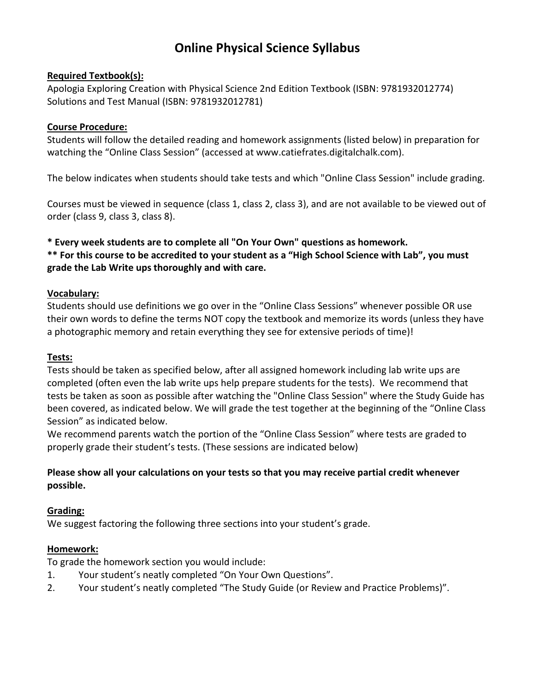# **Online Physical Science Syllabus**

## **Required Textbook(s):**

Apologia Exploring Creation with Physical Science 2nd Edition Textbook (ISBN: 9781932012774) Solutions and Test Manual (ISBN: 9781932012781)

## **Course Procedure:**

Students will follow the detailed reading and homework assignments (listed below) in preparation for watching the "Online Class Session" (accessed at www.catiefrates.digitalchalk.com).

The below indicates when students should take tests and which "Online Class Session" include grading.

Courses must be viewed in sequence (class 1, class 2, class 3), and are not available to be viewed out of order (class 9, class 3, class 8).

**\* Every week students are to complete all "On Your Own" questions as homework. \*\* For this course to be accredited to your student as a "High School Science with Lab", you must grade the Lab Write ups thoroughly and with care.** 

### **Vocabulary:**

Students should use definitions we go over in the "Online Class Sessions" whenever possible OR use their own words to define the terms NOT copy the textbook and memorize its words (unless they have a photographic memory and retain everything they see for extensive periods of time)!

### **Tests:**

Tests should be taken as specified below, after all assigned homework including lab write ups are completed (often even the lab write ups help prepare students for the tests). We recommend that tests be taken as soon as possible after watching the "Online Class Session" where the Study Guide has been covered, as indicated below. We will grade the test together at the beginning of the "Online Class Session" as indicated below.

We recommend parents watch the portion of the "Online Class Session" where tests are graded to properly grade their student's tests. (These sessions are indicated below)

# **Please show all your calculations on your tests so that you may receive partial credit whenever possible.**

# **Grading:**

We suggest factoring the following three sections into your student's grade.

### **Homework:**

To grade the homework section you would include:

- 1. Your student's neatly completed "On Your Own Questions".
- 2. Your student's neatly completed "The Study Guide (or Review and Practice Problems)".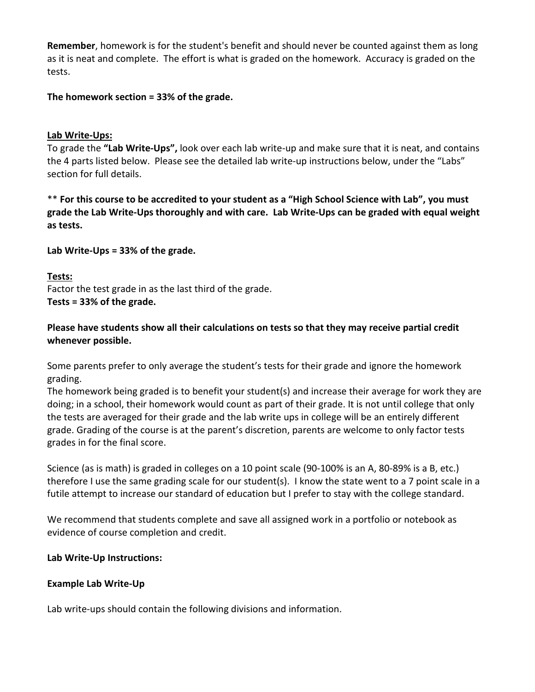**Remember**, homework is for the student's benefit and should never be counted against them as long as it is neat and complete. The effort is what is graded on the homework. Accuracy is graded on the tests.

**The homework section = 33% of the grade.** 

## **Lab Write-Ups:**

To grade the **"Lab Write-Ups",** look over each lab write-up and make sure that it is neat, and contains the 4 parts listed below. Please see the detailed lab write-up instructions below, under the "Labs" section for full details.

\*\* **For this course to be accredited to your student as a "High School Science with Lab", you must grade the Lab Write-Ups thoroughly and with care. Lab Write-Ups can be graded with equal weight as tests.** 

**Lab Write-Ups = 33% of the grade.** 

## **Tests:**

Factor the test grade in as the last third of the grade. **Tests = 33% of the grade.** 

## **Please have students show all their calculations on tests so that they may receive partial credit whenever possible.**

Some parents prefer to only average the student's tests for their grade and ignore the homework grading.

The homework being graded is to benefit your student(s) and increase their average for work they are doing; in a school, their homework would count as part of their grade. It is not until college that only the tests are averaged for their grade and the lab write ups in college will be an entirely different grade. Grading of the course is at the parent's discretion, parents are welcome to only factor tests grades in for the final score.

Science (as is math) is graded in colleges on a 10 point scale (90-100% is an A, 80-89% is a B, etc.) therefore I use the same grading scale for our student(s). I know the state went to a 7 point scale in a futile attempt to increase our standard of education but I prefer to stay with the college standard.

We recommend that students complete and save all assigned work in a portfolio or notebook as evidence of course completion and credit.

# **Lab Write-Up Instructions:**

# **Example Lab Write-Up**

Lab write-ups should contain the following divisions and information.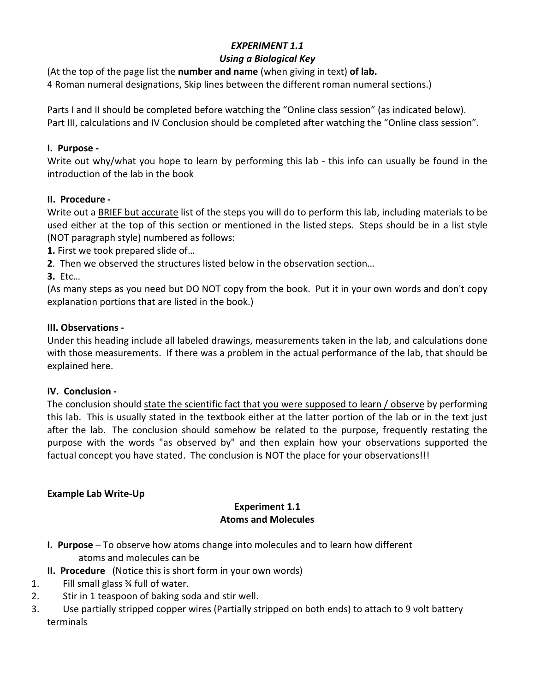# *EXPERIMENT 1.1*

# *Using a Biological Key*

(At the top of the page list the **number and name** (when giving in text) **of lab.**

4 Roman numeral designations, Skip lines between the different roman numeral sections.)

Parts I and II should be completed before watching the "Online class session" (as indicated below). Part III, calculations and IV Conclusion should be completed after watching the "Online class session".

# **I. Purpose -**

Write out why/what you hope to learn by performing this lab - this info can usually be found in the introduction of the lab in the book

# **II. Procedure -**

Write out a BRIEF but accurate list of the steps you will do to perform this lab, including materials to be used either at the top of this section or mentioned in the listed steps. Steps should be in a list style (NOT paragraph style) numbered as follows:

- **1.** First we took prepared slide of…
- **2**. Then we observed the structures listed below in the observation section…

**3.** Etc…

(As many steps as you need but DO NOT copy from the book. Put it in your own words and don't copy explanation portions that are listed in the book.)

# **III. Observations -**

Under this heading include all labeled drawings, measurements taken in the lab, and calculations done with those measurements. If there was a problem in the actual performance of the lab, that should be explained here.

# **IV. Conclusion -**

The conclusion should state the scientific fact that you were supposed to learn / observe by performing this lab. This is usually stated in the textbook either at the latter portion of the lab or in the text just after the lab. The conclusion should somehow be related to the purpose, frequently restating the purpose with the words "as observed by" and then explain how your observations supported the factual concept you have stated. The conclusion is NOT the place for your observations!!!

# **Example Lab Write-Up**

## **Experiment 1.1 Atoms and Molecules**

- **I. Purpose**  To observe how atoms change into molecules and to learn how different atoms and molecules can be
- **II. Procedure** (Notice this is short form in your own words)
- 1. Fill small glass ¾ full of water.
- 2. Stir in 1 teaspoon of baking soda and stir well.
- 3. Use partially stripped copper wires (Partially stripped on both ends) to attach to 9 volt battery terminals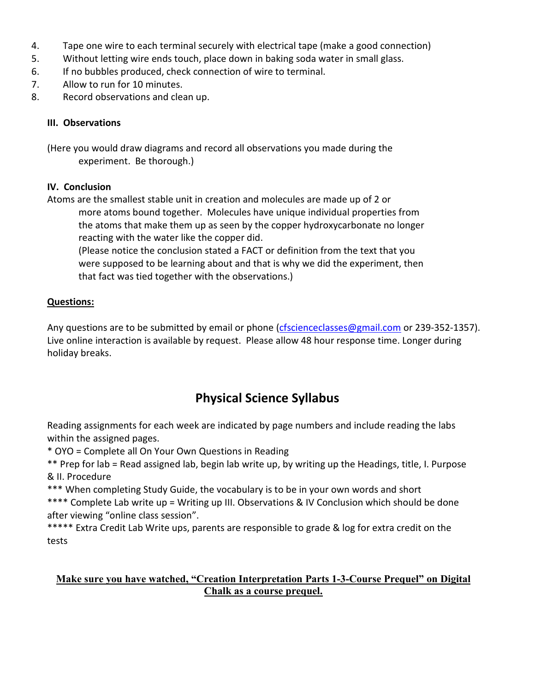- 4. Tape one wire to each terminal securely with electrical tape (make a good connection)
- 5. Without letting wire ends touch, place down in baking soda water in small glass.
- 6. If no bubbles produced, check connection of wire to terminal.
- 7. Allow to run for 10 minutes.
- 8. Record observations and clean up.

# **III. Observations**

(Here you would draw diagrams and record all observations you made during the experiment. Be thorough.)

# **IV. Conclusion**

Atoms are the smallest stable unit in creation and molecules are made up of 2 or more atoms bound together. Molecules have unique individual properties from the atoms that make them up as seen by the copper hydroxycarbonate no longer reacting with the water like the copper did.

(Please notice the conclusion stated a FACT or definition from the text that you were supposed to be learning about and that is why we did the experiment, then that fact was tied together with the observations.)

# **Questions:**

Any questions are to be submitted by email or phone (cfscienceclasses@gmail.com or 239-352-1357). Live online interaction is available by request. Please allow 48 hour response time. Longer during holiday breaks.

# **Physical Science Syllabus**

Reading assignments for each week are indicated by page numbers and include reading the labs within the assigned pages.

\* OYO = Complete all On Your Own Questions in Reading

\*\* Prep for lab = Read assigned lab, begin lab write up, by writing up the Headings, title, I. Purpose & II. Procedure

\*\*\* When completing Study Guide, the vocabulary is to be in your own words and short

\*\*\*\* Complete Lab write up = Writing up III. Observations & IV Conclusion which should be done after viewing "online class session".

\*\*\*\*\* Extra Credit Lab Write ups, parents are responsible to grade & log for extra credit on the tests

# **Make sure you have watched, "Creation Interpretation Parts 1-3-Course Prequel" on Digital Chalk as a course prequel.**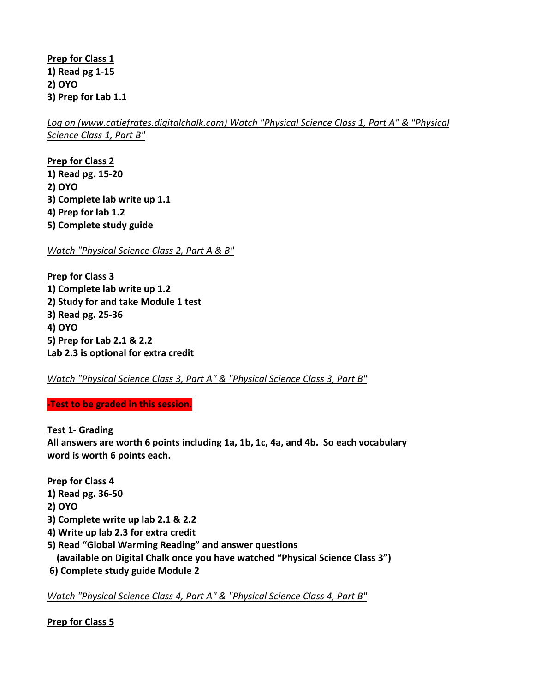**Prep for Class 1 1) Read pg 1-15 2) OYO 3) Prep for Lab 1.1** 

*Log on (www.catiefrates.digitalchalk.com) Watch "Physical Science Class 1, Part A" & "Physical Science Class 1, Part B"* 

**Prep for Class 2 1) Read pg. 15-20 2) OYO 3) Complete lab write up 1.1 4) Prep for lab 1.2 5) Complete study guide** 

*Watch "Physical Science Class 2, Part A & B"* 

**Prep for Class 3 1) Complete lab write up 1.2 2) Study for and take Module 1 test 3) Read pg. 25-36 4) OYO 5) Prep for Lab 2.1 & 2.2 Lab 2.3 is optional for extra credit** 

*Watch "Physical Science Class 3, Part A" & "Physical Science Class 3, Part B"* 

**-Test to be graded in this session.** 

**Test 1- Grading** 

**All answers are worth 6 points including 1a, 1b, 1c, 4a, and 4b. So each vocabulary word is worth 6 points each.** 

**Prep for Class 4** 

- **1) Read pg. 36-50**
- **2) OYO**
- **3) Complete write up lab 2.1 & 2.2**
- **4) Write up lab 2.3 for extra credit**
- **5) Read "Global Warming Reading" and answer questions (available on Digital Chalk once you have watched "Physical Science Class 3")**
- **6) Complete study guide Module 2**

*Watch "Physical Science Class 4, Part A" & "Physical Science Class 4, Part B"* 

**Prep for Class 5**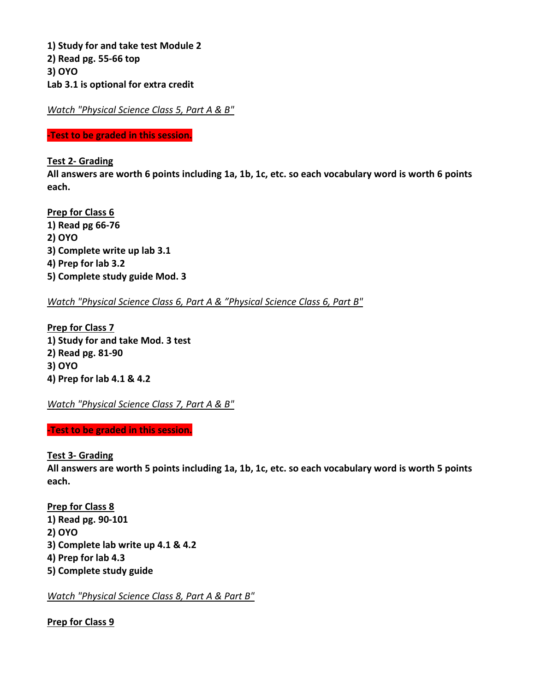**1) Study for and take test Module 2 2) Read pg. 55-66 top 3) OYO Lab 3.1 is optional for extra credit**

*Watch "Physical Science Class 5, Part A & B"* 

**-Test to be graded in this session.** 

**Test 2- Grading** 

**All answers are worth 6 points including 1a, 1b, 1c, etc. so each vocabulary word is worth 6 points each.** 

**Prep for Class 6 1) Read pg 66-76 2) OYO 3) Complete write up lab 3.1 4) Prep for lab 3.2 5) Complete study guide Mod. 3** 

*Watch "Physical Science Class 6, Part A & "Physical Science Class 6, Part B"*

**Prep for Class 7 1) Study for and take Mod. 3 test 2) Read pg. 81-90 3) OYO 4) Prep for lab 4.1 & 4.2** 

*Watch "Physical Science Class 7, Part A & B"* 

**-Test to be graded in this session.** 

**Test 3- Grading** 

**All answers are worth 5 points including 1a, 1b, 1c, etc. so each vocabulary word is worth 5 points each.** 

**Prep for Class 8 1) Read pg. 90-101 2) OYO 3) Complete lab write up 4.1 & 4.2 4) Prep for lab 4.3 5) Complete study guide** 

*Watch "Physical Science Class 8, Part A & Part B"* 

**Prep for Class 9**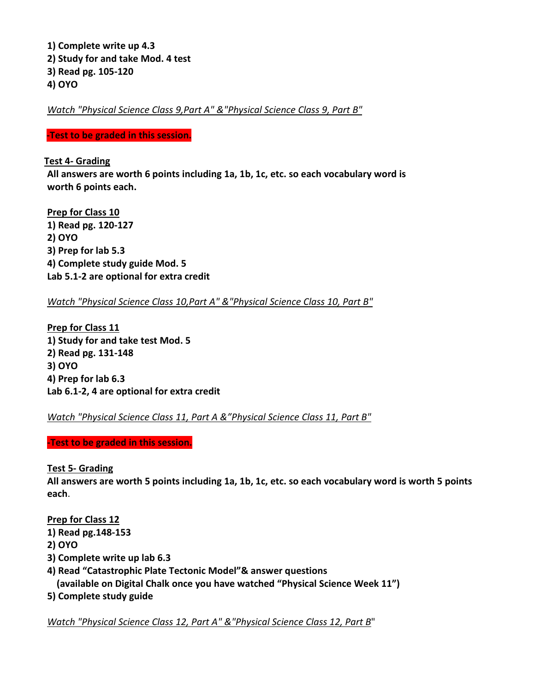**1) Complete write up 4.3 2) Study for and take Mod. 4 test 3) Read pg. 105-120 4) OYO** 

*Watch "Physical Science Class 9,Part A" &"Physical Science Class 9, Part B"* 

**-Test to be graded in this session.** 

## **Test 4- Grading**

**All answers are worth 6 points including 1a, 1b, 1c, etc. so each vocabulary word is worth 6 points each.** 

**Prep for Class 10 1) Read pg. 120-127 2) OYO 3) Prep for lab 5.3 4) Complete study guide Mod. 5 Lab 5.1-2 are optional for extra credit** 

*Watch "Physical Science Class 10,Part A" &"Physical Science Class 10, Part B"* 

**Prep for Class 11 1) Study for and take test Mod. 5 2) Read pg. 131-148 3) OYO 4) Prep for lab 6.3 Lab 6.1-2, 4 are optional for extra credit** 

*Watch "Physical Science Class 11, Part A &"Physical Science Class 11, Part B"* 

### **-Test to be graded in this session.**

# **Test 5- Grading**

**All answers are worth 5 points including 1a, 1b, 1c, etc. so each vocabulary word is worth 5 points each**.

**Prep for Class 12** 

- **1) Read pg.148-153**
- **2) OYO**
- **3) Complete write up lab 6.3**
- **4) Read "Catastrophic Plate Tectonic Model"& answer questions**

 **(available on Digital Chalk once you have watched "Physical Science Week 11")** 

**5) Complete study guide** 

*Watch "Physical Science Class 12, Part A" &"Physical Science Class 12, Part B*"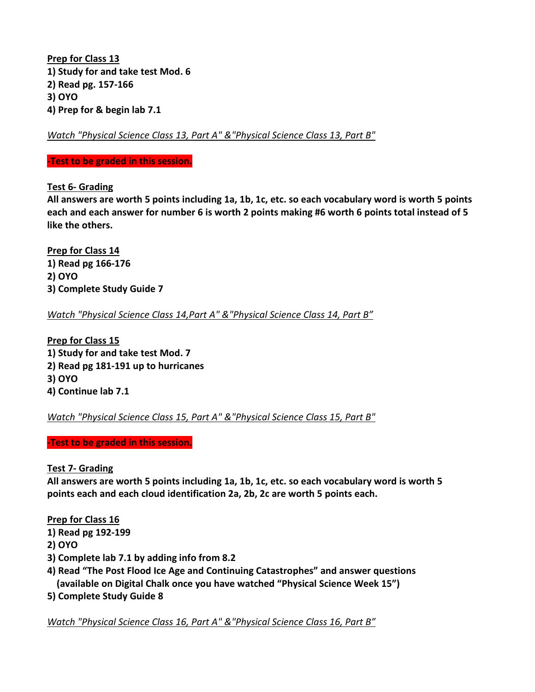**Prep for Class 13 1) Study for and take test Mod. 6 2) Read pg. 157-166 3) OYO 4) Prep for & begin lab 7.1** 

*Watch "Physical Science Class 13, Part A" &"Physical Science Class 13, Part B"* 

#### **-Test to be graded in this session.**

**Test 6- Grading** 

**All answers are worth 5 points including 1a, 1b, 1c, etc. so each vocabulary word is worth 5 points each and each answer for number 6 is worth 2 points making #6 worth 6 points total instead of 5 like the others.** 

**Prep for Class 14 1) Read pg 166-176 2) OYO 3) Complete Study Guide 7** 

*Watch "Physical Science Class 14,Part A" &"Physical Science Class 14, Part B"* 

**Prep for Class 15 1) Study for and take test Mod. 7 2) Read pg 181-191 up to hurricanes 3) OYO 4) Continue lab 7.1** 

*Watch "Physical Science Class 15, Part A" &"Physical Science Class 15, Part B"* 

**-Test to be graded in this session.** 

### **Test 7- Grading**

**All answers are worth 5 points including 1a, 1b, 1c, etc. so each vocabulary word is worth 5 points each and each cloud identification 2a, 2b, 2c are worth 5 points each.** 

# **Prep for Class 16**

- **1) Read pg 192-199**
- **2) OYO**
- **3) Complete lab 7.1 by adding info from 8.2**
- **4) Read "The Post Flood Ice Age and Continuing Catastrophes" and answer questions (available on Digital Chalk once you have watched "Physical Science Week 15")**
- **5) Complete Study Guide 8**

*Watch "Physical Science Class 16, Part A" &"Physical Science Class 16, Part B"*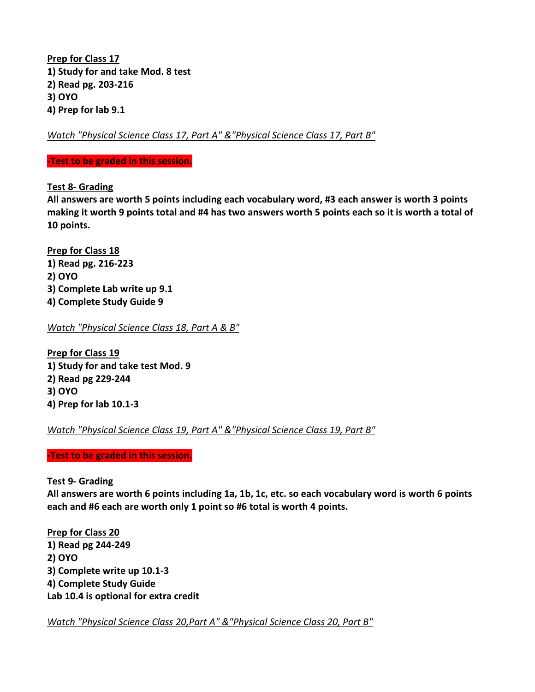**Prep for Class 17 1) Study for and take Mod. 8 test 2) Read pg. 203-216 3) OYO 4) Prep for lab 9.1** 

*Watch "Physical Science Class 17, Part A" &"Physical Science Class 17, Part B"* 

#### **-Test to be graded in this session.**

**Test 8- Grading** 

**All answers are worth 5 points including each vocabulary word, #3 each answer is worth 3 points making it worth 9 points total and #4 has two answers worth 5 points each so it is worth a total of 10 points.** 

**Prep for Class 18 1) Read pg. 216-223 2) OYO 3) Complete Lab write up 9.1 4) Complete Study Guide 9** 

*Watch "Physical Science Class 18, Part A & B"* 

**Prep for Class 19 1) Study for and take test Mod. 9 2) Read pg 229-244 3) OYO 4) Prep for lab 10.1-3** 

*Watch "Physical Science Class 19, Part A" &"Physical Science Class 19, Part B"* 

**-Test to be graded in this session.** 

### **Test 9- Grading**

**All answers are worth 6 points including 1a, 1b, 1c, etc. so each vocabulary word is worth 6 points each and #6 each are worth only 1 point so #6 total is worth 4 points.** 

**Prep for Class 20 1) Read pg 244-249 2) OYO 3) Complete write up 10.1-3 4) Complete Study Guide Lab 10.4 is optional for extra credit** 

*Watch "Physical Science Class 20,Part A" &"Physical Science Class 20, Part B"*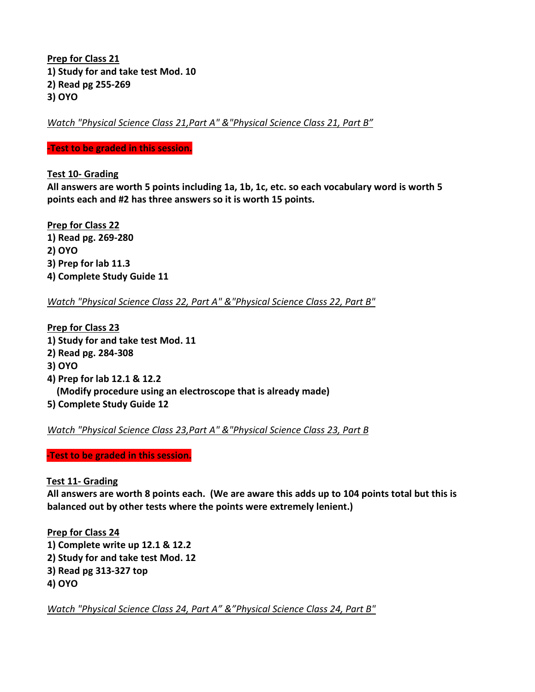**Prep for Class 21 1) Study for and take test Mod. 10 2) Read pg 255-269 3) OYO** 

*Watch "Physical Science Class 21,Part A" &"Physical Science Class 21, Part B"* 

#### **-Test to be graded in this session.**

**Test 10- Grading** 

**All answers are worth 5 points including 1a, 1b, 1c, etc. so each vocabulary word is worth 5 points each and #2 has three answers so it is worth 15 points.** 

**Prep for Class 22 1) Read pg. 269-280 2) OYO 3) Prep for lab 11.3 4) Complete Study Guide 11** 

*Watch "Physical Science Class 22, Part A" &"Physical Science Class 22, Part B"* 

**Prep for Class 23 1) Study for and take test Mod. 11 2) Read pg. 284-308 3) OYO 4) Prep for lab 12.1 & 12.2 (Modify procedure using an electroscope that is already made) 5) Complete Study Guide 12** 

*Watch "Physical Science Class 23,Part A" &"Physical Science Class 23, Part B* 

**-Test to be graded in this session.**

### **Test 11- Grading**

**All answers are worth 8 points each. (We are aware this adds up to 104 points total but this is balanced out by other tests where the points were extremely lenient.)** 

**Prep for Class 24 1) Complete write up 12.1 & 12.2 2) Study for and take test Mod. 12 3) Read pg 313-327 top 4) OYO** 

*Watch "Physical Science Class 24, Part A" &"Physical Science Class 24, Part B"*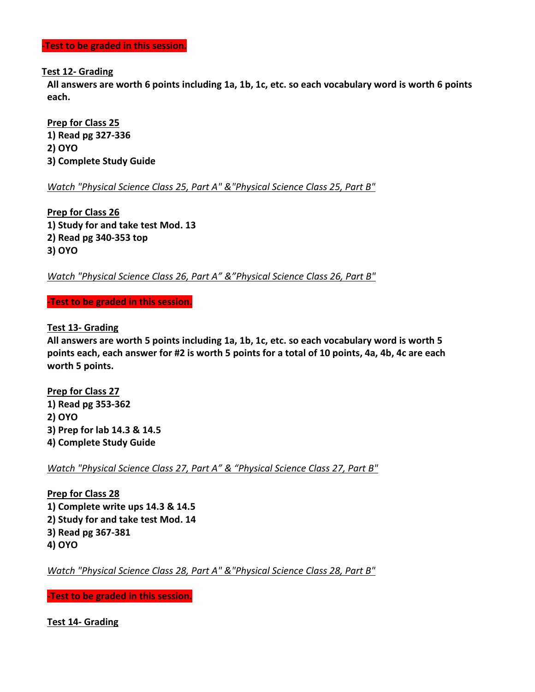**-Test to be graded in this session.** 

#### **Test 12- Grading**

**All answers are worth 6 points including 1a, 1b, 1c, etc. so each vocabulary word is worth 6 points each.** 

**Prep for Class 25 1) Read pg 327-336 2) OYO 3) Complete Study Guide** 

*Watch "Physical Science Class 25, Part A" &"Physical Science Class 25, Part B"* 

**Prep for Class 26 1) Study for and take test Mod. 13 2) Read pg 340-353 top 3) OYO** 

*Watch "Physical Science Class 26, Part A" &"Physical Science Class 26, Part B"* 

**-Test to be graded in this session.** 

**Test 13- Grading** 

**All answers are worth 5 points including 1a, 1b, 1c, etc. so each vocabulary word is worth 5 points each, each answer for #2 is worth 5 points for a total of 10 points, 4a, 4b, 4c are each worth 5 points.** 

**Prep for Class 27 1) Read pg 353-362 2) OYO 3) Prep for lab 14.3 & 14.5 4) Complete Study Guide** 

*Watch "Physical Science Class 27, Part A" & "Physical Science Class 27, Part B"* 

**Prep for Class 28 1) Complete write ups 14.3 & 14.5 2) Study for and take test Mod. 14 3) Read pg 367-381 4) OYO** 

*Watch "Physical Science Class 28, Part A" &"Physical Science Class 28, Part B"* 

**-Test to be graded in this session.** 

**Test 14- Grading**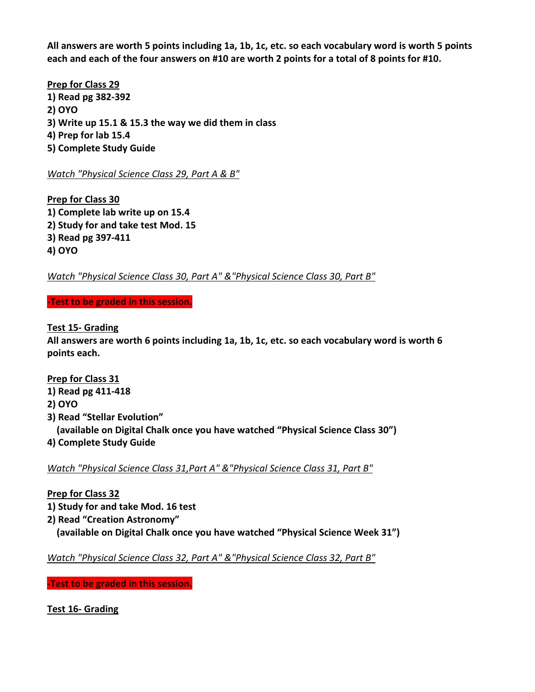**All answers are worth 5 points including 1a, 1b, 1c, etc. so each vocabulary word is worth 5 points each and each of the four answers on #10 are worth 2 points for a total of 8 points for #10.** 

**Prep for Class 29 1) Read pg 382-392 2) OYO 3) Write up 15.1 & 15.3 the way we did them in class 4) Prep for lab 15.4 5) Complete Study Guide** 

*Watch "Physical Science Class 29, Part A & B"* 

**Prep for Class 30 1) Complete lab write up on 15.4 2) Study for and take test Mod. 15 3) Read pg 397-411 4) OYO** 

*Watch "Physical Science Class 30, Part A" &"Physical Science Class 30, Part B"* 

**-Test to be graded in this session.** 

**Test 15- Grading** 

**All answers are worth 6 points including 1a, 1b, 1c, etc. so each vocabulary word is worth 6 points each.** 

# **Prep for Class 31**

- **1) Read pg 411-418**
- **2) OYO**
- **3) Read "Stellar Evolution" (available on Digital Chalk once you have watched "Physical Science Class 30")**
- **4) Complete Study Guide**

*Watch "Physical Science Class 31,Part A" &"Physical Science Class 31, Part B"* 

# **Prep for Class 32**

- **1) Study for and take Mod. 16 test**
- **2) Read "Creation Astronomy"**
- **(available on Digital Chalk once you have watched "Physical Science Week 31")**

*Watch "Physical Science Class 32, Part A" &"Physical Science Class 32, Part B"* 

**-Test to be graded in this session.** 

**Test 16- Grading**